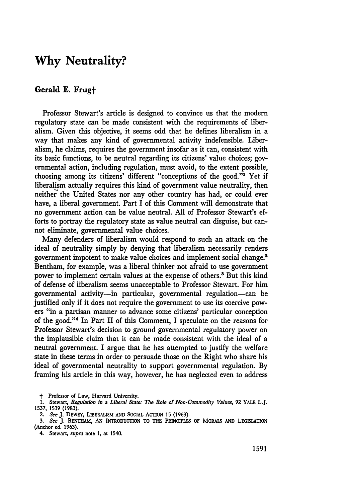## **Why Neutrality?**

## Gerald **E. Frugt**

Professor Stewart's article is designed to convince us that the modern regulatory state can be made consistent with the requirements of liberalism. Given this objective, it seems odd that he defines liberalism in a way that makes any kind of governmental activity indefensible. Liberalism, he claims, requires the government insofar as it can, consistent with its basic functions, to be neutral regarding its citizens' value choices; governmental action, including regulation, must avoid, to the extent possible, choosing among its citizens' different "conceptions of the good."<sup>1</sup> Yet if liberalism actually requires this kind of government value neutrality, then neither the United States nor any other country has had, or could ever have, a liberal government. Part I of this Comment will demonstrate that no government action can **be** value neutral. **All** of Professor Stewart's efforts to portray the regulatory state as value neutral can disguise, but cannot eliminate, governmental value choices.

Many defenders of liberalism would respond to such an attack on the ideal of neutrality simply **by** denying that liberalism necessarily renders government impotent to make value choices and implement social change.' Bentham, for example, was a liberal thinker not afraid to use government power to implement certain values at the expense of others.' But this kind of defense of liberalism seems unacceptable to Professor Stewart. For him governmental activity-in particular, governmental regulation-can be justified only if it does not require the government to use its coercive powers "in a partisan manner to advance some citizens' particular conception of the good."<sup>4</sup> In Part II of this Comment, I speculate on the reasons for Professor Stewart's decision to ground governmental regulatory power on the implausible claim that it can be made consistent with the ideal of a neutral government. I argue that he has attempted to justify the welfare state in these terms in order to persuade those on the Right who share his ideal of governmental neutrality to support governmental regulation. By framing his article in this way, however, he has neglected even to address

**t"** Professor of Law, Harvard University.

**1.** Stewart, *Regulation in a Liberal State: The Role of Non-Commodity Values,* **92** YALE L.J. **1537, 1539 (1983).**

4. Stewart, *supra* note **1,** at 1540.

<sup>2.</sup> *See* **J.** DEWEY, LIBERALISM **AND** SOCIAL ACTION **15 (1963).**

**<sup>3.</sup>** *See* **J. BENTHAM, AN INTRODUCTION** TO THE PRINCIPLES OF MORALS **AND** LEGISLATION (Anchor ed. **1963).**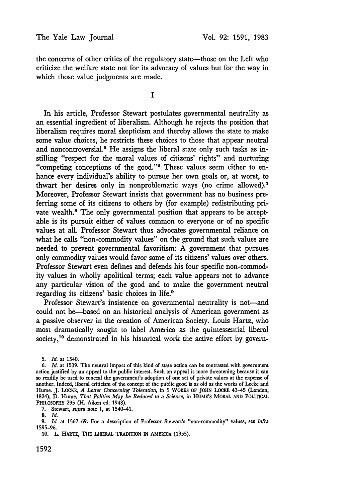the concerns of other critics of the regulatory state—those on the Left who criticize the welfare state not for its advocacy of values but for the way in which those value judgments are made.

**I**

In his article, Professor Stewart postulates governmental neutrality as an essential ingredient of liberalism. Although he rejects the position that liberalism requires moral skepticism and thereby allows the state to make some value choices, he restricts these choices to those that appear neutral and noncontroversial.<sup>5</sup> He assigns the liberal state only such tasks as in-<br>stilling "respect for the moral values of citizens' rights" and nurturing "competing conceptions of the good."<sup>6</sup> These values seem either to enhance every individual's ability to pursue her own goals or, at worst, to thwart her desires only in nonproblematic ways (no crime allowed).<sup>7</sup> Moreover, Professor Stewart insists that government has no business preferring some of its citizens to others **by** (for example) redistributing private wealth.<sup>8</sup> The only governmental position that appears to be acceptable is its pursuit either of values common to everyone or of no specific values at all. Professor Stewart thus advocates governmental reliance on what he calls "non-commodity values" on the ground that such values are needed to prevent governmental favoritism: A government that pursues only commodity values would favor some of its citizens' values over others. Professor Stewart even defines and defends his four specific non-commodity values in wholly apolitical terms; each value appears not to advance any particular vision of the good and to make the government neutral regarding its citizens' basic choices in life.'

Professor Stewart's insistence on governmental neutrality is not-and could not be-based on an historical analysis of American government as a passive observer in the creation of American Society. Louis Hartz, who most dramatically sought to label America as the quintessential liberal society,<sup>10</sup> demonstrated in his historical work the active effort by govern-

7. Stewart, *supra* note 1, at 1540-41.

<sup>5.</sup> *Id.* at 1540.

*<sup>6.</sup> Id.* at **1539.** The neutral impact of this kind of state action can be contrasted with government action justified **by** an appeal to the public interest. Such an appeal is more threatening because it can so readily be used to conceal the government's adoption of one set of private values at the expense of another. Indeed, liberal criticism of the concept of the public good is as old as the works of Locke and Hume. **J.** LOCKE, *A Letter Concerning Toleration,* in **5** WORKS OF **JOHN** LOCKE 43-45 (London, 1824); **D.** Hume, *That Politics May be Reduced to a Science,* in **HUME'S** MORAL **AND** POLITICAL PHILOSOPHY **295** (H. Aiken ed. 1948).

<sup>8.</sup> *Id.*

**<sup>9.</sup>** *Id.* at 1567-69. For a description of Professor Stewart's "non-commodity" values, see *infra* **1595-96.**

**<sup>10.</sup>** L. HARTZ, **THE** LIBERAL TRADITION **IN** AMERICA **(1955).**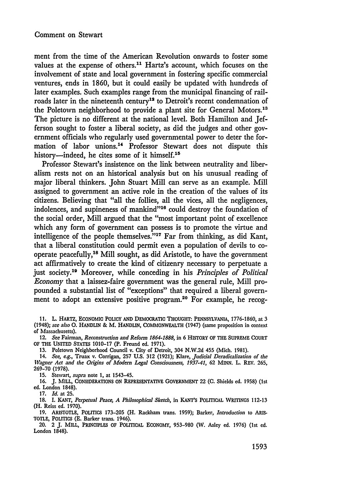ment from the time of the American Revolution onwards to foster some values at the expense of others.<sup>11</sup> Hartz's account, which focuses on the involvement of state and local government in fostering specific commercial ventures, ends in 1860, but it could easily be updated with hundreds of later examples. Such examples range from the municipal financing of railroads later in the nineteenth century<sup>12</sup> to Detroit's recent condemnation of the Poletown neighborhood to provide a plant site for General Motors.<sup>13</sup> The picture is no different at the national level. Both Hamilton and Jefferson sought to foster a liberal society, as did the judges and other government officials who regularly used governmental power to deter the formation of labor unions.<sup>14</sup> Professor Stewart does not dispute this history—indeed, he cites some of it himself.<sup>15</sup>

Professor Stewart's insistence on the link between neutrality and liberalism rests not on an historical analysis but on his unusual reading of major liberal thinkers. John Stuart Mill can serve as an example. Mill assigned to government an active role in the creation of the values of its citizens. Believing that "all the follies, all the vices, all the negligences, indolences, and supineness of mankind"<sup>16</sup> could destroy the foundation of the social order, Mill argued that the "most important point of excellence which any form of government can possess is to promote the virtue and intelligence of the people themselves."<sup>17</sup> Far from thinking, as did Kant, that a liberal constitution could permit even a population of devils to cooperate peacefully,<sup>18</sup> Mill sought, as did Aristotle, to have the government act affirmatively to create the kind of citizenry necessary to perpetuate a just society." Moreover, while conceding in his *Principles of Political Economy* that a laissez-faire government was the general rule, Mill propounded a substantial list of "exceptions" that required a liberal government to adopt an extensive positive program.<sup>20</sup> For example, he recog-

- **11.** L. HARTZ, ECONOMIC POLICY AND DEMOCRATIC **THOUGHT:** PENNSYLVANIA, **1776-1860,** at 3 (1948); *see also 0.* HANDLIN & M. HANDLIN, COMMONWEALTH (1947) (same proposition in context **of** Massachusetts).
- 12. *See Fairman, Reconstruction and Reform 1864-1888,* in 6 HISTORY OF THE **SUPREME COURT** OF THE **UNITED STATES** 1010-17 (P. Freund ed. 1971).
	- **13.** Poletown Neighborhood Council v. City of Detroit, 304 **N.W.2d** 455 (Mich. **1981).**
- 14. *See, e.g.,* Truax v. Corrigan, **257 U.S. 312 (1921);** Klare, *Judicial Deradicalization of the Wagner Act and the Origins of Modern Legal Consciousness, 1937-41,* 62 MINN. L. REV. 265, **269-70 (1978).**

**15.** Stewart, *supra* note **1,** at 1543-45.

16. **J.** MILL, **CONSIDERATIONS** ON REPRESENTATIVE GOVERNMENT 22 **(C.** Shields ed. 1958) (1st ed. London 1848).

17. *Id.* at **25.**

18. I. **KANT,** *Perpetual Peace, A Philosophical Sketch,* in KANT'S POLITICAL WRITINGS 112-13 (H. Reiss ed. 1970).

19. ARISTOTLE, POLITICS 173-205 (H. Rackham trans. 1959); Barker, *Introduction* to **ARIS-**TOTLE, POLITICS **(E.** Barker trans. 1946).

20. 2 **J.** MILL, PRINCIPLES OF POLITICAL **ECONOMY,** 953-980 (W. Asley ed. 1976) (1st ed. London 1848).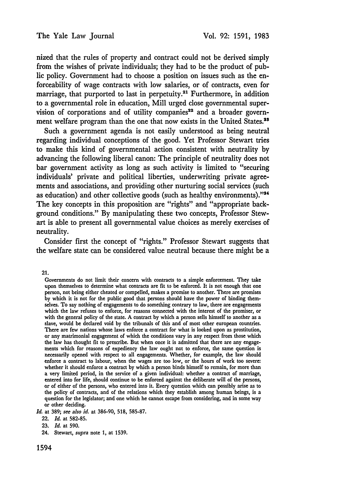nized that the rules of property and contract could not be derived simply from the wishes of private individuals; they had to be the product of public policy. Government had to choose a position on issues such as the enforceability of wage contracts with low salaries, or of contracts, even for marriage, that purported to last in perpetuity.<sup>21</sup> Furthermore, in addition to a governmental role in education, Mill urged close governmental supervision of corporations and of utility companies<sup>22</sup> and a broader government welfare program than the one that now exists in the United States.<sup>23</sup>

Such a government agenda is not easily understood as being neutral regarding individual conceptions of the good. Yet Professor Stewart tries to make this kind of governmental action consistent with neutrality **by** advancing the following liberal canon: The principle of neutrality does not bar government activity as long as such activity is limited to "securing individuals' private and political liberties, underwriting private agreements and associations, and providing other nurturing social services (such as education) and other collective goods (such as healthy environments)."<sup>24</sup> The key concepts in this proposition are "rights" and "appropriate background conditions." **By** manipulating these two concepts, Professor Stewart is able to present all governmental value choices as merely exercises of neutrality.

Consider first the concept of "rights." Professor Stewart suggests that the welfare state can be considered value neutral because there might be a

21.

*Id.* at **389;** *see also id.* at **386-90, 518, 585-87.**

24. Stewart, *supra* note 1, at 1539.

Governments do not limit their concern with contracts to a simple enforcement. They take upon themselves to determine what contracts are fit to be enforced. It is not enough that one person, not being either cheated or compelled, makes a promise to another. There are promises by which it is not for the public good that persons should have the power of binding themselves. To say nothing of engagements to do something contrary to law, there are engagements which the law refuses to enforce, for reasons connected with the interest of the promiser, or with the general policy of the state. **A** contract **by** which a person sells himself to another as a slave, would **be** declared void **by** the tribunals of this and of most other european countries. There are few nations whose laws enforce a contract for what is looked upon as prostitution, or any matrimonial engagement of which the conditions vary in any respect from those which the law has thought fit to prescribe. But when once it is admitted that there are any engagements which for reasons of expediency the law ought not to enforce, the same question is necessarily opened with respect to all engagements. Whether, for example, the law should enforce a contract to labour, when the wages are too low, or the hours of work too severe: whether it should enforce a contract **by** which a person binds himself to remain, for more than a very limited period, in the service of a given individual: whether a contract of marriage, entered into for life, should continue to be enforced against the deliberate will of the persons, or of either of the persons, who entered into it. Every question which can possibly arise as to the policy of contracts, and of the relations which they establish among human beings, is a question for the legislator; and one which he cannot escape from considering, and in some way or other deciding.

<sup>22.</sup> *Id.* at **582-85.**

**<sup>23.</sup>** *Id.* at 590.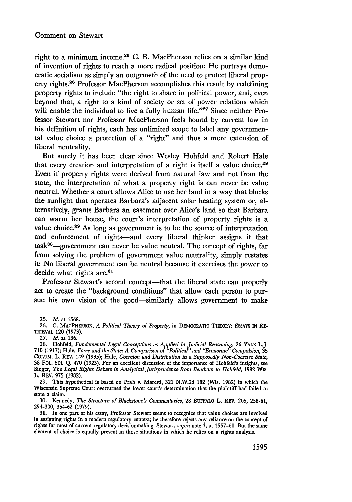## Comment on Stewart

right to a minimum income.<sup>25</sup> C. B. MacPherson relies on a similar kind of invention of rights to reach a more radical position: He portrays democratic socialism as simply an outgrowth of the need to protect liberal property rights.<sup>26</sup> Professor MacPherson accomplishes this result by redefining property rights to include "the right to share in political power, and, even beyond that, a right to a kind of society or set of power relations which will enable the individual to live a fully human life."<sup>27</sup> Since neither Professor Stewart nor Professor MacPherson feels bound by current law in his definition of rights, each has unlimited scope to label any governmental value choice a protection of a "right" and thus a mere extension of liberal neutrality.

But surely it has been clear since Wesley Hohfeld and Robert Hale that every creation and interpretation of a right is itself a value choice.<sup>28</sup> Even if property rights were derived from natural law and not from the state, the interpretation of what a property right is can never be value neutral. Whether a court allows Alice to use her land in a way that blocks the sunlight that operates Barbara's adjacent solar heating system or, alternatively, grants Barbara an easement over Alice's land so that Barbara can warm her house, the court's interpretation of property rights is a value choice.<sup>29</sup> As long as government is to be the source of interpretation and enforcement of rights-and every liberal thinker assigns it that task<sup>30</sup>—government can never be value neutral. The concept of rights, far from solving the problem of government value neutrality, simply restates it: No liberal government can be neutral because it exercises the power to decide what rights **are.3 <sup>1</sup>**

Professor Stewart's second concept—that the liberal state can properly act to create the "background conditions" that allow each person to pursue his own vision of the good—similarly allows government to make

**27.** *Id.* at **136.**

29. This hypothetical is based on Prah v. Maretti, 321 N.W.2d 182 (Wis. 1982) in which the Wisconsin Supreme Court overturned the lower court's determination that the plaintiff had failed to state a claim.

**30.** Kennedy, *The Structure of Blackstone's Commentaries,* **28 BUFFALO** L. REV. 205, 258-61, 294-300, 354-62 (1979).

**31.** In one part of his essay, Professor Stewart seems to recognize that value choices are involved in assigning rights in a modern regulatory context; he therefore rejects any reliance on the concept of rights for most of current regulatory decisionmaking. Stewart, *supra* note 1, at 1557-60. But the same element of choice is equally present in those situations in which he relies on a rights analysis.

<sup>25.</sup> *Id.* at **1568.**

**<sup>26.</sup> C. MACPHERSON,** *A Political Theory of Property,* in DEMOCRATIC THEORY: **ESSAYS IN** RE-TRIEVAL 120 **(1973).**

**<sup>28.</sup>** Hohfeld, *Fundamental Legal Conceptions as Applied in Judicial Reasoning,* **26** YALE L.J. 710 (1917); Hale, *Force and the State: A Comparison of "Political" and "Economic" Compulsion,* 35 COLUM. L. REV. 149 (1935); Hale, *Coercion and Distribution in a Supposedly Non-Coercive State,* **38** POL. **SCI.** Q. 470 (1923). For an excellent discussion of the importance of Hohfeld's insights, see Singer, *The Legal Rights Debate in Analytical Jurisprudence from Bentham to Hohfeld*, 1982 WIS. L. REV. 975 (1982).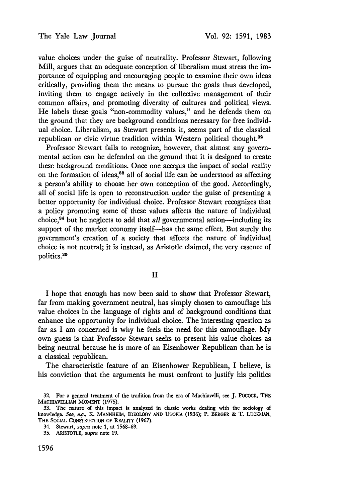value choices under the guise of neutrality. Professor Stewart, following Mill, argues that an adequate conception of liberalism must stress the importance of equipping and encouraging people to examine their own ideas critically, providing them the means to pursue the goals thus developed, inviting them to engage actively in the collective management of their common affairs, and promoting diversity of cultures and political views. He labels these goals "non-commodity values," and he defends them on the ground that they are background conditions necessary for free individual choice. Liberalism, as Stewart presents it, seems part of the classical republican or civic virtue tradition within Western political thought.<sup>32</sup>

Professor Stewart fails to recognize, however, that almost any governmental action can be defended on the ground that it is designed to create these background conditions. Once one accepts the impact of social reality on the formation of ideas,<sup>33</sup> all of social life can be understood as affecting a person's ability to choose her own conception of the good. Accordingly, all of social life is open to reconstruction under the guise of presenting a better opportunity for individual choice. Professor Stewart recognizes that a policy promoting some of these values affects the nature of individual choice,  $34$  but he neglects to add that all governmental action-including its support of the market economy itself-has the same effect. But surely the government's creation of a society that affects the nature of individual choice is not neutral; it is instead, as Aristotle claimed, the very essence of politics.<sup>35</sup>

II

I hope that enough has now been said to show that Professor Stewart, far from making government neutral, has simply chosen to camouflage his value choices in the language of rights and of background conditions that enhance the opportunity for individual choice. The interesting question as far as I am concerned is why he feels the need for this camouflage. My own guess is that Professor Stewart seeks to present his value choices as being neutral because he is more of an Eisenhower Republican than he is a classical republican.

The characteristic feature of an Eisenhower Republican, I believe, is his conviction that the arguments he must confront to justify his politics

<sup>32.</sup> For a general treatment of the tradition from the era of Machiavelli, see **J.** POCOCK, THE **MACHIAVELLIAN MOMENT** (1975).

<sup>33.</sup> The nature of this impact is analyzed in classic works dealing with the sociology of knowledge. *See, e.g.,* K. MANNHEIM, IDEOLOGY **AND UTOPIA** (1936); P. BERGER & T. **LUCKMAN,** THE SOCIAL **CONSTRUCTION** OF REALITY (1967).

<sup>34.</sup> Stewart, *supra* note 1, at 1568-69.

<sup>35.</sup> ARISTOTLE, *supra* note 19.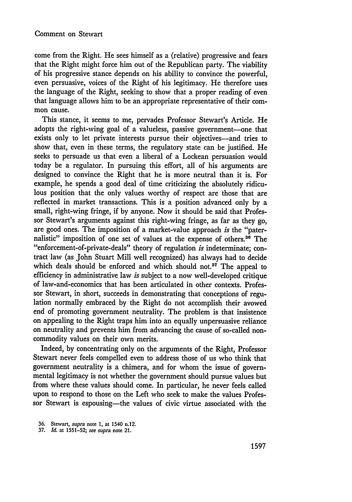come from the Right. He sees himself as a (relative) progressive and fears that the Right might force him out of the Republican party. The viability of his progressive stance depends on his ability to convince the powerful, even persuasive, voices of the Right of his legitimacy. He therefore uses the language of the Right, seeking to show that a proper reading of even that language allows him to be an appropriate representative of their common cause.

This stance, it seems to me, pervades Professor Stewart's Article. He adopts the right-wing goal of a valueless, passive government-one that exists only to let private interests pursue their objectives-and tries to show that, even in these terms, the regulatory state can be justified. He seeks to persuade us that even a liberal of a Lockean persuasion would today be a regulator. In pursuing this effort, all of his arguments are designed to convince the Right that he is more neutral than it is. For example, he spends a good deal of time criticizing the absolutely ridiculous position that the only values worthy of respect are those that are reflected in market transactions. This is a position advanced only by a small, right-wing fringe, if by anyone. Now it should be said that Professor Stewart's arguments against this right-wing fringe, as far as they go, are good ones. The imposition of a market-value approach *is* the "paternalistic" imposition of one set of values at the expense of others.<sup>36</sup> The "enforcement-of-private-deals" theory of regulation *is* indeterminate; contract law (as John Stuart Mill well recognized) has always had to decide which deals should be enforced and which should not.<sup>37</sup> The appeal to efficiency in administrative law *is* subject to a now well-developed critique of law-and-economics that has been articulated in other contexts. Professor Stewart, in short, succeeds in demonstrating that conceptions of regulation normally embraced by the Right do not accomplish their avowed end of promoting government neutrality. The problem is that insistence on appealing to the Right traps him into an equally unpersuasive reliance on neutrality and prevents him from advancing the cause of so-called noncommodity values on their own merits.

Indeed, by concentrating only on the arguments of the Right, Professor Stewart never feels compelled even to address those of us who think that government neutrality is a chimera, and for whom the issue of governmental legitimacy is not whether the government should pursue values but from where these values should come. In particular, he never feels called upon to respond to those on the Left who seek to make the values Professor Stewart is espousing-the values of civic virtue associated with the

<sup>36.</sup> Stewart, *supra* note 1, at 1540 n.12.

<sup>37.</sup> *Id.* at 1551-52; *see supra* note 21.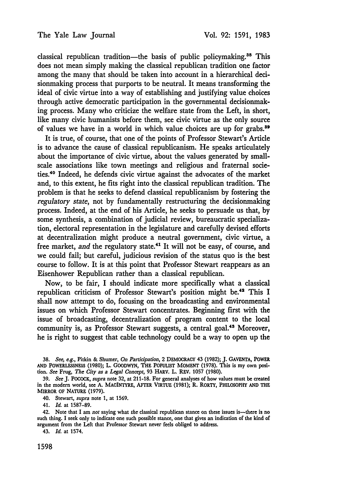classical republican tradition-the basis of public policymaking.<sup>38</sup> This does not mean simply making the classical republican tradition one factor among the many that should be taken into account in a hierarchical decisionmaking process that purports to be neutral. It means transforming the ideal of civic virtue into a way of establishing and justifying value choices through active democratic participation in the governmental decisionmaking process. Many who criticize the welfare state from the Left, in short, like many civic humanists before them, see civic virtue as the only source of values we have in a world in which value choices are up for grabs.<sup>39</sup>

It is true, of course, that one of the points of Professor Stewart's Article is to advance the cause of classical republicanism. He speaks articulately about the importance of civic virtue, about the values generated **by** smallscale associations like town meetings and religious and fraternal societies.40 Indeed, he defends civic virtue against the advocates of the market and, to this extent, he fits right into the classical republican tradition. The problem is that he seeks to defend classical republicanism **by** fostering the *regulatory state,* not by fundamentally restructuring the decisionmaking process. Indeed, at the end of his Article, he seeks to persuade us that, **by** some synthesis, a combination of judicial review, bureaucratic specialization, electoral representation in the legislature and carefully devised efforts at decentralization might produce a neutral government, civic virtue, a free market, *and* the regulatory state.<sup>41</sup> It will not be easy, of course, and we could fail; but careful, judicious revision of the status quo is the best course to follow. It is at this point that Professor Stewart reappears as an Eisenhower Republican rather than a classical republican.

Now, to be fair, I should indicate more specifically what a classical republican criticism of Professor Stewart's position might be.<sup>42</sup> This I shall now attempt to do, focusing on the broadcasting and environmental issues on which Professor Stewart concentrates. Beginning first with the issue of broadcasting, decentralization of program content to the local community is, as Professor Stewart suggests, a central goal.<sup>43</sup> Moreover, he is right to suggest that cable technology could be a way to open up the

40. Stewart, *supra* note **1,** at **1569.**

41. *Id.* at **1587-89.**

42. Note that **I** am *not* saying what *the* classical republican stance on these issues is-there is no such thing. I seek only to indicate one such possible stance, one that gives an indication of the kind of argument from the Left that Professor Stewart never feels obliged to address.

43. *Id.* at 1574.

**<sup>38.</sup>** *See, e.g.,* Pitkin **&** Shumer, *On Participation,* **2 DEMOCRACY 43 (1982); J. GAVENTA, POWER AND POWERLESSNESS (1980);** L. GOODWYN, **THE POPULIST MOMENT (1978).** This is my own position. *See* Frug, *The City as a Legal Concept,* **93 HARv. L. REV. 1057 (1980).**

**<sup>39.</sup>** *See* **J. POCOCK,** *supra* note **32,** at **211-18.** For general analyses of how values must **be** created in the modem world, see **A.** MACINTYRE, AFTER VIRTUE **(1981);** R. RORTY, PHILOSOPHY **AND** THE MIRROR OF **NATURE (1979).**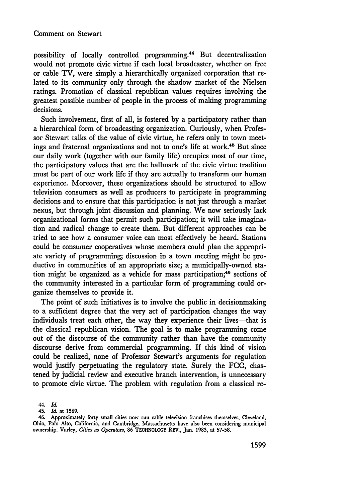possibility of locally controlled programming. 4 But decentralization would not promote civic virtue if each local broadcaster, whether on free or cable TV, were simply a hierarchically organized corporation that related to its community only through the shadow market of the Nielsen ratings. Promotion of classical republican values requires involving the greatest possible number of people in the process of making programming decisions.

Such involvement, first of all, is fostered by a participatory rather than a hierarchical form of broadcasting organization. Curiously, when Professor Stewart talks of the value of civic virtue, he refers only to town meetings and fraternal organizations and not to one's life at work.45 But since our daily work (together with our family life) occupies most of our time, the participatory values that are the hallmark of the civic virtue tradition must be part of our work life if they are actually to transform our human experience. Moreover, these organizations should be structured to allow television consumers as well as producers to participate in programming decisions and to ensure that this participation is not just through a market nexus, but through joint discussion and planning. We now seriously lack organizational forms that permit such participation; it will take imagination and radical change to create them. But different approaches can be tried to see how a consumer voice can most effectively be heard. Stations could be consumer cooperatives whose members could plan the appropriate variety of programming; discussion in a town meeting might be productive in communities of an appropriate size; a municipally-owned station might be organized as a vehicle for mass participation; 48 sections of the community interested in a particular form of programming could organize themselves to provide it.

The point of such initiatives is to involve the public in decisionmaking to a sufficient degree that the very act of participation changes the way individuals treat each other, the way they experience their lives-that is the classical republican vision. The goal is to make programming come out of the discourse of the community rather than have the community discourse derive from commercial programming. If this kind of vision could be realized, none of Professor Stewart's arguments for regulation would justify perpetuating the regulatory state. Surely the FCC, chastened by judicial review and executive branch intervention, is unnecessary to promote civic virtue. The problem with regulation from a classical re-

*44. Id.*

45. *Id.* at **1569.**

<sup>46.</sup> Approximately forty small cities now run cable television franchises themselves; Cleveland, Ohio, Palo Alto, California, and Cambridge, Massachusetts have also been considering municipal ownership. Varley, *Cities as Operators,* **86 TECHNOLOGY** REV., Jan. **1983,** at **57-58.**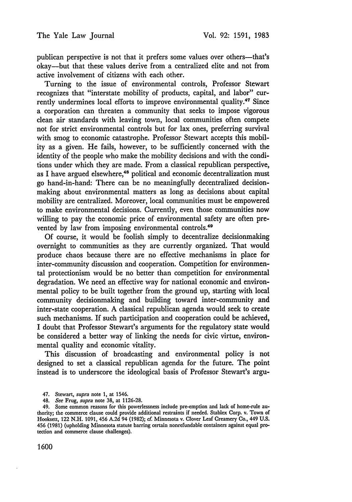publican perspective is not that it prefers some values over others--that's okay-but that these values derive from a centralized elite and not from active involvement of citizens with each other.

Turning to the issue of environmental controls, Professor Stewart recognizes that "interstate mobility of products, capital, and labor" currently undermines local efforts to improve environmental quality.<sup>47</sup> Since a corporation can threaten a community that seeks to impose vigorous clean air standards with leaving town, local communities often compete not for strict environmental controls but for lax ones, preferring survival with smog to economic catastrophe. Professor Stewart accepts this mobility as a given. He fails, however, to be sufficiently concerned with the identity of the people who make the mobility decisions and with the conditions under which they are made. From a classical republican perspective, as I have argued elsewhere,<sup>48</sup> political and economic decentralization must go hand-in-hand: There can be no meaningfully decentralized decisionmaking about environmental matters as long as decisions about capital mobility are centralized. Moreover, local communities must be empowered to make environmental decisions. Currently, even those communities now willing to pay the economic price of environmental safety are often prevented by law from imposing environmental controls.<sup>49</sup>

Of course, it would be foolish simply to decentralize decisionmaking overnight to communities as they are currently organized. That would produce chaos because there are no effective mechanisms in place for inter-community discussion and cooperation. Competition for environmental protectionism would be no better than competition for environmental degradation. We need an effective way for national economic and environmental policy to be built together from the ground up, starting with local community decisionmaking and building toward inter-community and inter-state cooperation. A classical republican agenda would seek to create such mechanisms. If such participation and cooperation could be achieved, I doubt that Professor Stewart's arguments for the regulatory state would be considered a better way of linking the needs for civic virtue, environmental quality and economic vitality.

This discussion of broadcasting and environmental policy is not designed to set a classical republican agenda for the future. The point instead is to underscore the ideological basis of Professor Stewart's argu-

<sup>47.</sup> Stewart, *supra* note 1, at 1546.

<sup>48.</sup> *See* Frug, *supra* note 38, at 1126-28.

<sup>49.</sup> Some common reasons for this powerlessness include pre-emption and lack of home-rule authority; the commerce clause could provide additional restraints if needed. Stablex Corp. v. Town of Hooksett, 122 N.H. 1091, 456 A.2d 94 (1982); *cf. Minnesota v. Clover Leaf Creamery Co.*, 449 U.S. 456 (1981) (upholding Minnesota statute barring certain nonrefundable containers against equal protection and commerce clause challenges).